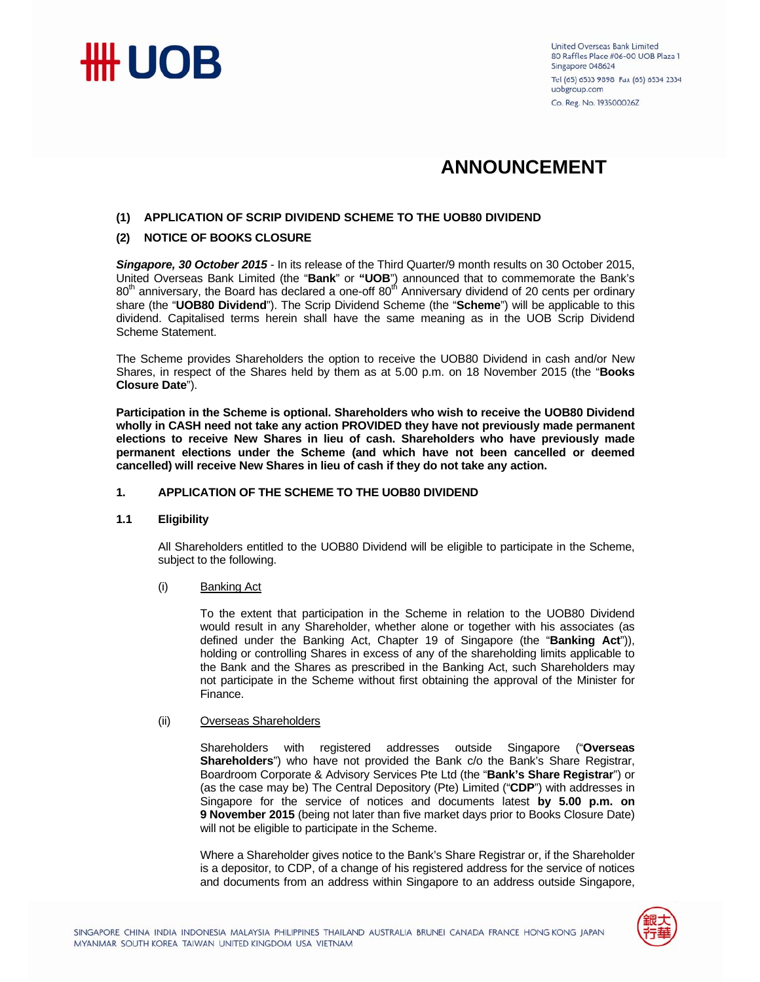

# **ANNOUNCEMENT**

### **(1) APPLICATION OF SCRIP DIVIDEND SCHEME TO THE UOB80 DIVIDEND**

#### **(2) NOTICE OF BOOKS CLOSURE**

*Singapore, 30 October 2015* - In its release of the Third Quarter/9 month results on 30 October 2015, United Overseas Bank Limited (the "**Bank**" or **"UOB**") announced that to commemorate the Bank's  $80<sup>th</sup>$  anniversary, the Board has declared a one-off  $80<sup>th</sup>$  Anniversary dividend of 20 cents per ordinary share (the "**UOB80 Dividend**"). The Scrip Dividend Scheme (the "**Scheme**") will be applicable to this dividend. Capitalised terms herein shall have the same meaning as in the UOB Scrip Dividend Scheme Statement.

The Scheme provides Shareholders the option to receive the UOB80 Dividend in cash and/or New Shares, in respect of the Shares held by them as at 5.00 p.m. on 18 November 2015 (the "**Books Closure Date**").

**Participation in the Scheme is optional. Shareholders who wish to receive the UOB80 Dividend wholly in CASH need not take any action PROVIDED they have not previously made permanent elections to receive New Shares in lieu of cash. Shareholders who have previously made permanent elections under the Scheme (and which have not been cancelled or deemed cancelled) will receive New Shares in lieu of cash if they do not take any action.** 

#### **1. APPLICATION OF THE SCHEME TO THE UOB80 DIVIDEND**

#### **1.1 Eligibility**

All Shareholders entitled to the UOB80 Dividend will be eligible to participate in the Scheme, subject to the following.

#### (i) Banking Act

To the extent that participation in the Scheme in relation to the UOB80 Dividend would result in any Shareholder, whether alone or together with his associates (as defined under the Banking Act, Chapter 19 of Singapore (the "**Banking Act**")), holding or controlling Shares in excess of any of the shareholding limits applicable to the Bank and the Shares as prescribed in the Banking Act, such Shareholders may not participate in the Scheme without first obtaining the approval of the Minister for Finance.

#### (ii) Overseas Shareholders

Shareholders with registered addresses outside Singapore ("**Overseas Shareholders**") who have not provided the Bank c/o the Bank's Share Registrar, Boardroom Corporate & Advisory Services Pte Ltd (the "**Bank's Share Registrar**") or (as the case may be) The Central Depository (Pte) Limited ("**CDP**") with addresses in Singapore for the service of notices and documents latest **by 5.00 p.m. on 9 November 2015** (being not later than five market days prior to Books Closure Date) will not be eligible to participate in the Scheme.

Where a Shareholder gives notice to the Bank's Share Registrar or, if the Shareholder is a depositor, to CDP, of a change of his registered address for the service of notices and documents from an address within Singapore to an address outside Singapore,

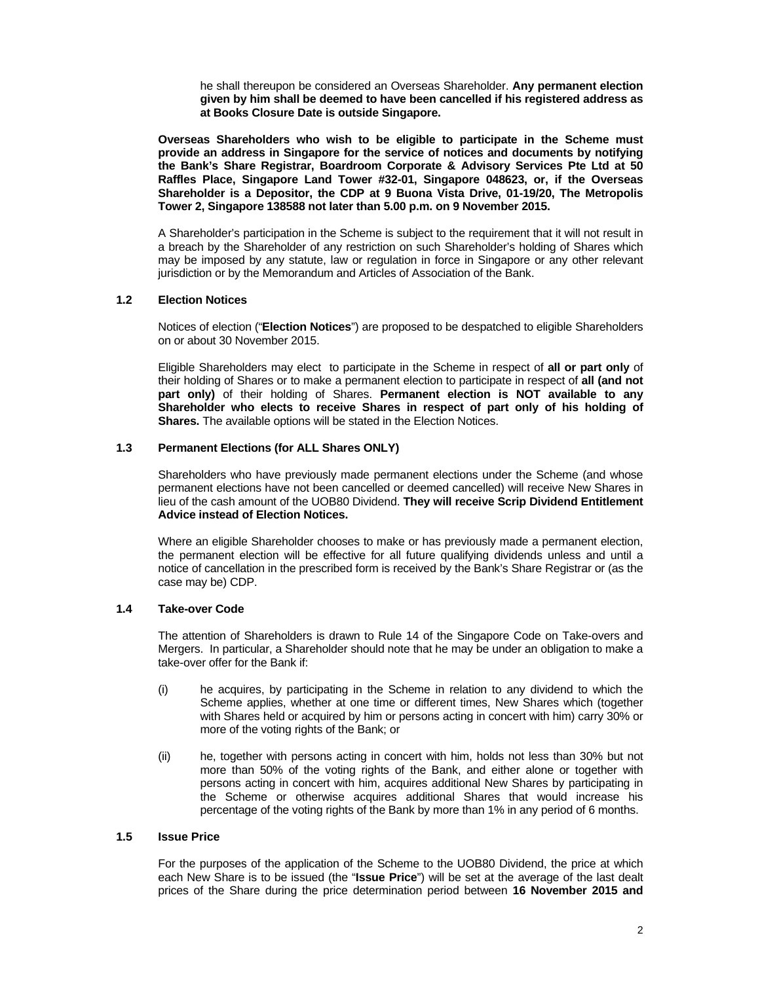he shall thereupon be considered an Overseas Shareholder. **Any permanent election given by him shall be deemed to have been cancelled if his registered address as at Books Closure Date is outside Singapore.** 

**Overseas Shareholders who wish to be eligible to participate in the Scheme must provide an address in Singapore for the service of notices and documents by notifying the Bank's Share Registrar, Boardroom Corporate & Advisory Services Pte Ltd at 50 Raffles Place, Singapore Land Tower #32-01, Singapore 048623, or, if the Overseas Shareholder is a Depositor, the CDP at 9 Buona Vista Drive, 01-19/20, The Metropolis Tower 2, Singapore 138588 not later than 5.00 p.m. on 9 November 2015.** 

A Shareholder's participation in the Scheme is subject to the requirement that it will not result in a breach by the Shareholder of any restriction on such Shareholder's holding of Shares which may be imposed by any statute, law or regulation in force in Singapore or any other relevant jurisdiction or by the Memorandum and Articles of Association of the Bank.

# **1.2 Election Notices**

Notices of election ("**Election Notices**") are proposed to be despatched to eligible Shareholders on or about 30 November 2015.

Eligible Shareholders may elect to participate in the Scheme in respect of **all or part only** of their holding of Shares or to make a permanent election to participate in respect of **all (and not part only)** of their holding of Shares. **Permanent election is NOT available to any Shareholder who elects to receive Shares in respect of part only of his holding of Shares.** The available options will be stated in the Election Notices.

#### **1.3 Permanent Elections (for ALL Shares ONLY)**

Shareholders who have previously made permanent elections under the Scheme (and whose permanent elections have not been cancelled or deemed cancelled) will receive New Shares in lieu of the cash amount of the UOB80 Dividend. **They will receive Scrip Dividend Entitlement Advice instead of Election Notices.** 

Where an eligible Shareholder chooses to make or has previously made a permanent election, the permanent election will be effective for all future qualifying dividends unless and until a notice of cancellation in the prescribed form is received by the Bank's Share Registrar or (as the case may be) CDP.

# **1.4 Take-over Code**

The attention of Shareholders is drawn to Rule 14 of the Singapore Code on Take-overs and Mergers. In particular, a Shareholder should note that he may be under an obligation to make a take-over offer for the Bank if:

- (i) he acquires, by participating in the Scheme in relation to any dividend to which the Scheme applies, whether at one time or different times, New Shares which (together with Shares held or acquired by him or persons acting in concert with him) carry 30% or more of the voting rights of the Bank; or
- (ii) he, together with persons acting in concert with him, holds not less than 30% but not more than 50% of the voting rights of the Bank, and either alone or together with persons acting in concert with him, acquires additional New Shares by participating in the Scheme or otherwise acquires additional Shares that would increase his percentage of the voting rights of the Bank by more than 1% in any period of 6 months.

#### **1.5 Issue Price**

For the purposes of the application of the Scheme to the UOB80 Dividend, the price at which each New Share is to be issued (the "**Issue Price**") will be set at the average of the last dealt prices of the Share during the price determination period between **16 November 2015 and**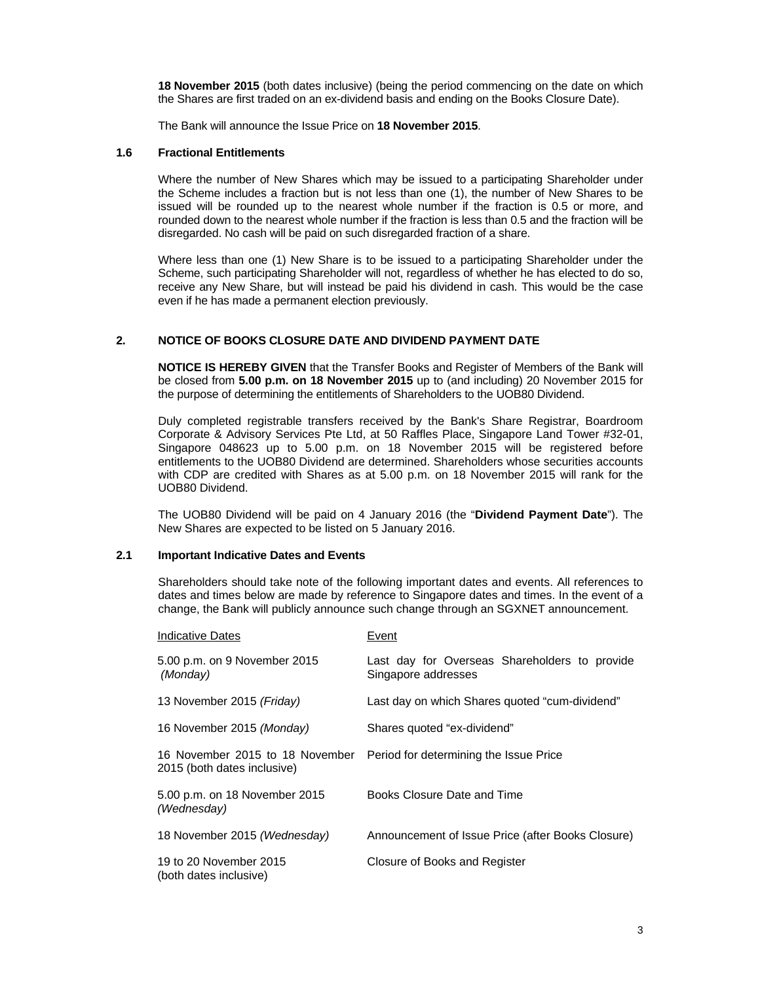**18 November 2015** (both dates inclusive) (being the period commencing on the date on which the Shares are first traded on an ex-dividend basis and ending on the Books Closure Date).

The Bank will announce the Issue Price on **18 November 2015**.

#### **1.6 Fractional Entitlements**

Where the number of New Shares which may be issued to a participating Shareholder under the Scheme includes a fraction but is not less than one (1), the number of New Shares to be issued will be rounded up to the nearest whole number if the fraction is 0.5 or more, and rounded down to the nearest whole number if the fraction is less than 0.5 and the fraction will be disregarded. No cash will be paid on such disregarded fraction of a share.

Where less than one (1) New Share is to be issued to a participating Shareholder under the Scheme, such participating Shareholder will not, regardless of whether he has elected to do so, receive any New Share, but will instead be paid his dividend in cash. This would be the case even if he has made a permanent election previously.

#### **2. NOTICE OF BOOKS CLOSURE DATE AND DIVIDEND PAYMENT DATE**

**NOTICE IS HEREBY GIVEN** that the Transfer Books and Register of Members of the Bank will be closed from **5.00 p.m. on 18 November 2015** up to (and including) 20 November 2015 for the purpose of determining the entitlements of Shareholders to the UOB80 Dividend.

Duly completed registrable transfers received by the Bank's Share Registrar, Boardroom Corporate & Advisory Services Pte Ltd, at 50 Raffles Place, Singapore Land Tower #32-01, Singapore 048623 up to 5.00 p.m. on 18 November 2015 will be registered before entitlements to the UOB80 Dividend are determined. Shareholders whose securities accounts with CDP are credited with Shares as at 5.00 p.m. on 18 November 2015 will rank for the UOB80 Dividend.

The UOB80 Dividend will be paid on 4 January 2016 (the "**Dividend Payment Date**"). The New Shares are expected to be listed on 5 January 2016.

#### **2.1 Important Indicative Dates and Events**

Shareholders should take note of the following important dates and events. All references to dates and times below are made by reference to Singapore dates and times. In the event of a change, the Bank will publicly announce such change through an SGXNET announcement.

| <b>Indicative Dates</b>                                        | Event                                                                |
|----------------------------------------------------------------|----------------------------------------------------------------------|
| 5.00 p.m. on 9 November 2015<br>(Monday)                       | Last day for Overseas Shareholders to provide<br>Singapore addresses |
| 13 November 2015 (Friday)                                      | Last day on which Shares quoted "cum-dividend"                       |
| 16 November 2015 (Monday)                                      | Shares quoted "ex-dividend"                                          |
| 16 November 2015 to 18 November<br>2015 (both dates inclusive) | Period for determining the Issue Price                               |
| 5.00 p.m. on 18 November 2015<br>(Wednesday)                   | Books Closure Date and Time                                          |
| 18 November 2015 (Wednesday)                                   | Announcement of Issue Price (after Books Closure)                    |
| 19 to 20 November 2015<br>(both dates inclusive)               | Closure of Books and Register                                        |